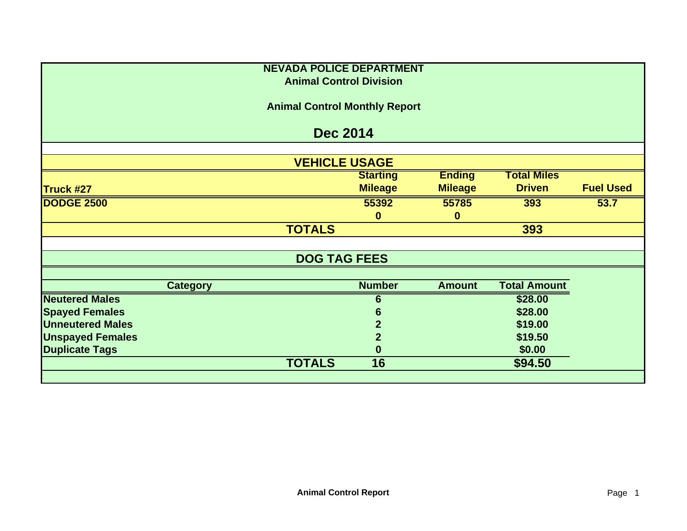|                         |                                      | <b>NEVADA POLICE DEPARTMENT</b><br><b>Animal Control Division</b> |                 |                |                     |                  |  |  |
|-------------------------|--------------------------------------|-------------------------------------------------------------------|-----------------|----------------|---------------------|------------------|--|--|
|                         |                                      |                                                                   |                 |                |                     |                  |  |  |
|                         | <b>Animal Control Monthly Report</b> |                                                                   |                 |                |                     |                  |  |  |
|                         |                                      | <b>Dec 2014</b>                                                   |                 |                |                     |                  |  |  |
|                         |                                      |                                                                   |                 |                |                     |                  |  |  |
|                         |                                      | <b>VEHICLE USAGE</b>                                              |                 |                |                     |                  |  |  |
|                         |                                      |                                                                   | <b>Starting</b> | <b>Ending</b>  | <b>Total Miles</b>  |                  |  |  |
| Truck #27               |                                      |                                                                   | <b>Mileage</b>  | <b>Mileage</b> | <b>Driven</b>       | <b>Fuel Used</b> |  |  |
| <b>DODGE 2500</b>       |                                      |                                                                   | 55392           | 55785          | 393                 | 53.7             |  |  |
|                         |                                      |                                                                   | $\mathbf{0}$    | $\bf{0}$       |                     |                  |  |  |
|                         |                                      | <b>TOTALS</b>                                                     |                 |                | 393                 |                  |  |  |
|                         |                                      | <b>DOG TAG FEES</b>                                               |                 |                |                     |                  |  |  |
|                         |                                      |                                                                   |                 |                |                     |                  |  |  |
|                         | <b>Category</b>                      |                                                                   | <b>Number</b>   | <b>Amount</b>  | <b>Total Amount</b> |                  |  |  |
| <b>Neutered Males</b>   |                                      |                                                                   | 6               |                | \$28.00             |                  |  |  |
| <b>Spayed Females</b>   |                                      |                                                                   | 6               |                | \$28.00             |                  |  |  |
| <b>Unneutered Males</b> |                                      |                                                                   | $\mathbf{2}$    |                | \$19.00             |                  |  |  |
| <b>Unspayed Females</b> |                                      |                                                                   | $\overline{2}$  |                | \$19.50             |                  |  |  |
| <b>Duplicate Tags</b>   |                                      |                                                                   | $\bf{0}$        |                | \$0.00              |                  |  |  |
|                         |                                      | <b>TOTALS</b>                                                     | 16              |                | \$94.50             |                  |  |  |
|                         |                                      |                                                                   |                 |                |                     |                  |  |  |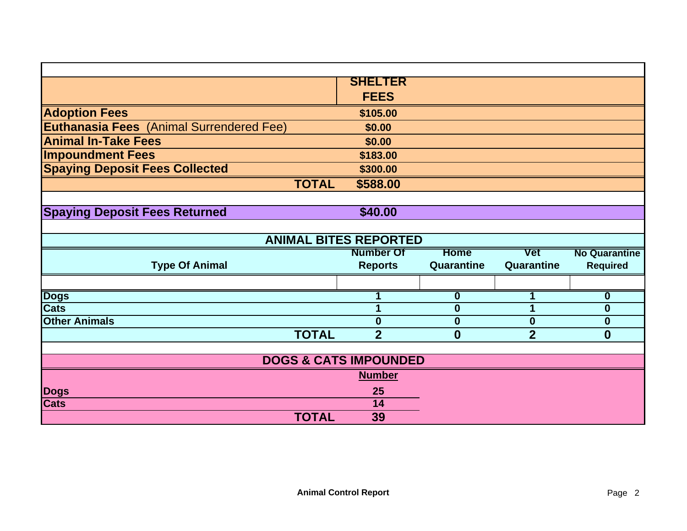|                                                 | <b>SHELTER</b>                   |                         |                |                         |  |  |
|-------------------------------------------------|----------------------------------|-------------------------|----------------|-------------------------|--|--|
|                                                 | <b>FEES</b>                      |                         |                |                         |  |  |
| <b>Adoption Fees</b>                            | \$105.00                         |                         |                |                         |  |  |
| <b>Euthanasia Fees</b> (Animal Surrendered Fee) | \$0.00                           |                         |                |                         |  |  |
| <b>Animal In-Take Fees</b>                      | \$0.00                           |                         |                |                         |  |  |
| <b>Impoundment Fees</b>                         | \$183.00                         |                         |                |                         |  |  |
| <b>Spaying Deposit Fees Collected</b>           | \$300.00                         |                         |                |                         |  |  |
| <b>TOTAL</b>                                    | \$588.00                         |                         |                |                         |  |  |
|                                                 |                                  |                         |                |                         |  |  |
| <b>Spaying Deposit Fees Returned</b>            | \$40.00                          |                         |                |                         |  |  |
|                                                 |                                  |                         |                |                         |  |  |
| <b>ANIMAL BITES REPORTED</b>                    |                                  |                         |                |                         |  |  |
|                                                 | <b>Number Of</b>                 | <b>Home</b>             | <b>Vet</b>     | <b>No Quarantine</b>    |  |  |
| <b>Type Of Animal</b>                           | <b>Reports</b>                   | Quarantine              | Quarantine     | <b>Required</b>         |  |  |
|                                                 |                                  |                         |                |                         |  |  |
| <b>Dogs</b>                                     |                                  | $\overline{\mathbf{0}}$ |                | $\overline{\mathbf{0}}$ |  |  |
| <b>Cats</b>                                     |                                  | $\bf{0}$                | 1              | $\boldsymbol{0}$        |  |  |
| <b>Other Animals</b>                            | $\bf{0}$                         | $\bf{0}$                | $\bf{0}$       | $\boldsymbol{0}$        |  |  |
| <b>TOTAL</b>                                    | $\overline{2}$                   | $\bf{0}$                | $\overline{2}$ | $\bf{0}$                |  |  |
|                                                 |                                  |                         |                |                         |  |  |
|                                                 | <b>DOGS &amp; CATS IMPOUNDED</b> |                         |                |                         |  |  |
|                                                 | <b>Number</b>                    |                         |                |                         |  |  |
| <b>Dogs</b>                                     | 25                               |                         |                |                         |  |  |
| <b>Cats</b>                                     | 14                               |                         |                |                         |  |  |
| <b>TOTAL</b>                                    | 39                               |                         |                |                         |  |  |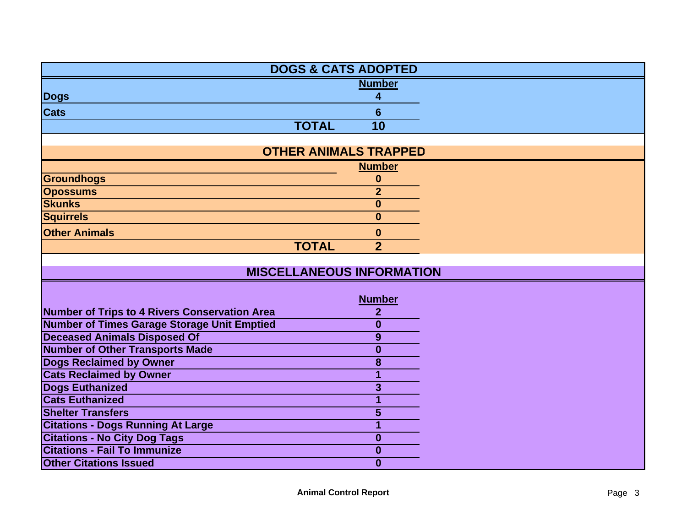| <b>DOGS &amp; CATS ADOPTED</b>                     |                         |  |
|----------------------------------------------------|-------------------------|--|
|                                                    | <b>Number</b>           |  |
| <b>Dogs</b>                                        | 4                       |  |
| <b>Cats</b>                                        | 6                       |  |
| <b>TOTAL</b>                                       | 10                      |  |
|                                                    |                         |  |
| <b>OTHER ANIMALS TRAPPED</b>                       |                         |  |
|                                                    | <b>Number</b>           |  |
| <b>Groundhogs</b>                                  | $\bf{0}$                |  |
| <b>Opossums</b>                                    | $\overline{2}$          |  |
| <b>Skunks</b>                                      | $\boldsymbol{0}$        |  |
| <b>Squirrels</b>                                   | $\mathbf{0}$            |  |
| <b>Other Animals</b>                               | $\bf{0}$                |  |
| <b>TOTAL</b>                                       | $\overline{2}$          |  |
|                                                    |                         |  |
| <b>MISCELLANEOUS INFORMATION</b>                   |                         |  |
|                                                    |                         |  |
|                                                    | <b>Number</b>           |  |
| Number of Trips to 4 Rivers Conservation Area      | $\boldsymbol{2}$        |  |
| <b>Number of Times Garage Storage Unit Emptied</b> | $\bf{0}$                |  |
| <b>Deceased Animals Disposed Of</b>                | 9                       |  |
| <b>Number of Other Transports Made</b>             | $\boldsymbol{0}$        |  |
| <b>Dogs Reclaimed by Owner</b>                     | 8                       |  |
| <b>Cats Reclaimed by Owner</b>                     | 1                       |  |
| <b>Dogs Euthanized</b>                             | $\overline{\mathbf{3}}$ |  |
| <b>Cats Euthanized</b>                             | 1                       |  |
| <b>Shelter Transfers</b>                           | $\overline{\mathbf{5}}$ |  |
| <b>Citations - Dogs Running At Large</b>           | 1                       |  |
| <b>Citations - No City Dog Tags</b>                | $\bf{0}$                |  |
| <b>Citations - Fail To Immunize</b>                | $\bf{0}$                |  |
| <b>Other Citations Issued</b>                      | $\bf{0}$                |  |